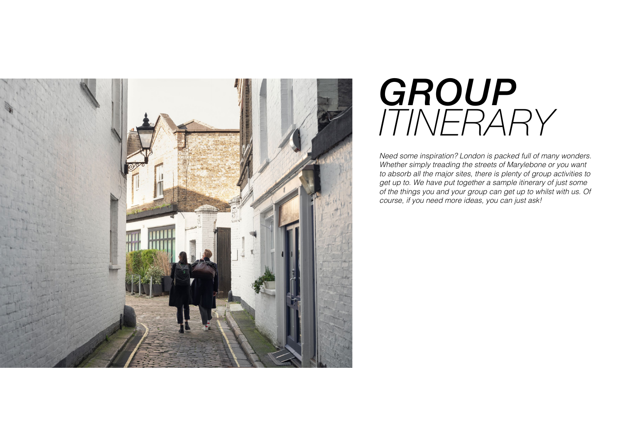

# GROUP *ITINERARY*

*Need some inspiration? London is packed full of many wonders. Whether simply treading the streets of Marylebone or you want to absorb all the major sites, there is plenty of group activities to get up to. We have put together a sample itinerary of just some of the things you and your group can get up to whilst with us. Of course, if you need more ideas, you can just ask!*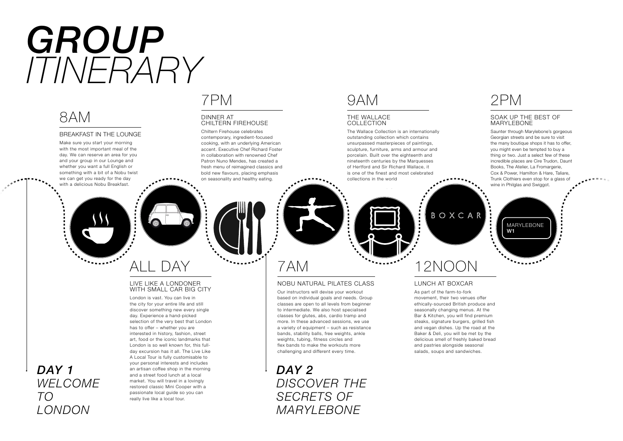# *GROUP ITINERARY*



#### BREAKFAST IN THE LOUNGE

Make sure you start your morning with the most important meal of the day. We can reserve an area for you and your group in our Lounge and whether you want a full English or something with a bit of a Nobu twist we can get you ready for the day with a delicious Nobu Breakfast.

## 7PM

#### DINNER AT CHILTERN FIREHOUSE

Chiltern Firehouse celebrates contemporary, ingredient-focused cooking, with an underlying American accent. Executive Chef Richard Foster in collaboration with renowned Chef Patron Nuno Mendes, has created a fresh menu of reimagined classics and bold new flavours, placing emphasis on seasonality and healthy eating.

## 9AM

#### THE WALLACE COLLECTION

The Wallace Collection is an internationally outstanding collection which contains unsurpassed masterpieces of paintings, sculpture, furniture, arms and armour and porcelain. Built over the eighteenth and nineteenth centuries by the Marquesses of Hertford and Sir Richard Wallace, it is one of the finest and most celebrated collections in the world

## 2PM

### SOAK UP THE BEST OF MARYLEBONE

Saunter through Marylebone's gorgeous Georgian streets and be sure to visit the many boutique shops it has to offer, you might even be tempted to buy a thing or two. Just a select few of these incredible places are Cire Trudon, Daunt Books, The Atelier, La Fromargerie, Cox & Power, Hamilton & Hare, Taliare, Trunk Clothiers even stop for a glass of wine in Philglas and Swiggot.





#### LIVE LIKE A LONDONER WITH SMALL CAR BIG CITY

London is vast. You can live in the city for your entire life and still discover something new every single day. Experience a hand-picked selection of the very best that London has to offer – whether you are interested in history, fashion, street art, food or the iconic landmarks that London is so well known for, this fullday excursion has it all. The Live Like A Local Tour is fully customisable to your personal interests and includes an artisan coffee shop in the morning and a street food lunch at a local market. You will travel in a lovingly restored classic Mini Cooper with a passionate local guide so you can really live like a local tour.

## 7AM

### NOBU NATURAL PILATES CLASS

Our instructors will devise your workout based on individual goals and needs. Group classes are open to all levels from beginner to intermediate. We also host specialised classes for glutes, abs, cardio tramp and more. In these advanced sessions, we use a variety of equipment – such as resistance bands, stability balls, free weights, ankle weights, tubing, fitness circles and flex bands to make the workouts more challenging and different every time.

*DAY 2 DISCOVER THE SECRETS OF MARYLEBONE* 

## 12NOON

BOXCAR

## LUNCH AT BOXCAR

As part of the farm-to-fork movement, their two venues offer ethically-sourced British produce and seasonally changing menus. At the Bar & Kitchen, you will find premium steaks, signature burgers, grilled fish and vegan dishes. Up the road at the Baker & Deli, you will be met by the delicious smell of freshly baked bread and pastries alongside seasonal salads, soups and sandwiches.



## *DAY 1 WELCOME TO LONDON*